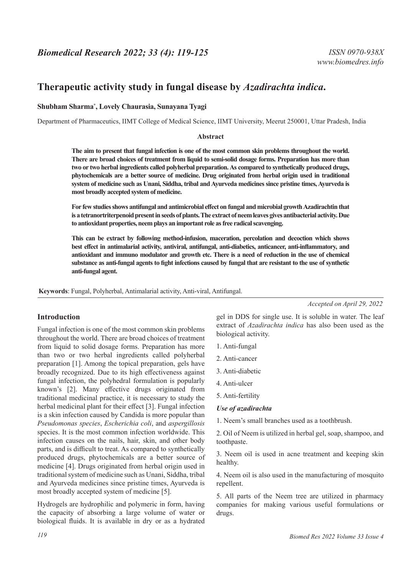# **Therapeutic activity study in fungal disease by** *Azadirachta indica***.**

### **Shubham Sharma\* , Lovely Chaurasia, Sunayana Tyagi**

Department of Pharmaceutics, IIMT College of Medical Science, IIMT University, Meerut 250001, Uttar Pradesh, India

#### **Abstract**

**The aim to present that fungal infection is one of the most common skin problems throughout the world. There are broad choices of treatment from liquid to semi-solid dosage forms. Preparation has more than two or two herbal ingredients called polyherbal preparation. As compared to synthetically produced drugs, phytochemicals are a better source of medicine. Drug originated from herbal origin used in traditional system of medicine such as Unani, Siddha, tribal and Ayurveda medicines since pristine times, Ayurveda is most broadly accepted system of medicine.**

**For few studies shows antifungal and antimicrobial effect on fungal and microbial growth Azadirachtin that is a tetranortriterpenoid present in seeds of plants. The extract of neem leaves gives antibacterial activity. Due to antioxidant properties, neem plays an important role as free radical scavenging.**

**This can be extract by following method-infusion, maceration, percolation and decoction which shows best effect in antimalarial activity, antiviral, antifungal, anti-diabetics, anticancer, anti-inflammatory, and antioxidant and immuno modulator and growth etc. There is a need of reduction in the use of chemical substance as anti-fungal agents to fight infections caused by fungal that are resistant to the use of synthetic anti-fungal agent.**

**Keywords**: Fungal, Polyherbal, Antimalarial activity, Anti-viral, Antifungal.

**Introduction**

Fungal infection is one of the most common skin problems throughout the world. There are broad choices of treatment from liquid to solid dosage forms. Preparation has more than two or two herbal ingredients called polyherbal preparation [1]. Among the topical preparation, gels have broadly recognized. Due to its high effectiveness against fungal infection, the polyhedral formulation is popularly known's [2]. Many effective drugs originated from traditional medicinal practice, it is necessary to study the herbal medicinal plant for their effect [3]. Fungal infection is a skin infection caused by Candida is more popular than *Pseudomonas species*, *Escherichia coli*, and *aspergillosis* species. It is the most common infection worldwide. This infection causes on the nails, hair, skin, and other body parts, and is difficult to treat. As compared to synthetically produced drugs, phytochemicals are a better source of medicine [4]. Drugs originated from herbal origin used in traditional system of medicine such as Unani, Siddha, tribal and Ayurveda medicines since pristine times, Ayurveda is most broadly accepted system of medicine [5].

Hydrogels are hydrophilic and polymeric in form, having the capacity of absorbing a large volume of water or biological fluids. It is available in dry or as a hydrated *Accepted on April 29, 2022*

gel in DDS for single use. It is soluble in water. The leaf extract of *Azadirachta indica* has also been used as the biological activity.

1. Anti-fungal

- 2. Anti-cancer
- 3. Anti-diabetic
- 4. Anti-ulcer
- 5. Anti-fertility

### *Use of azadirachta*

1. Neem's small branches used as a toothbrush.

2. Oil of Neem is utilized in herbal gel, soap, shampoo, and toothpaste.

3. Neem oil is used in acne treatment and keeping skin healthy.

4. Neem oil is also used in the manufacturing of mosquito repellent.

5. All parts of the Neem tree are utilized in pharmacy companies for making various useful formulations or drugs.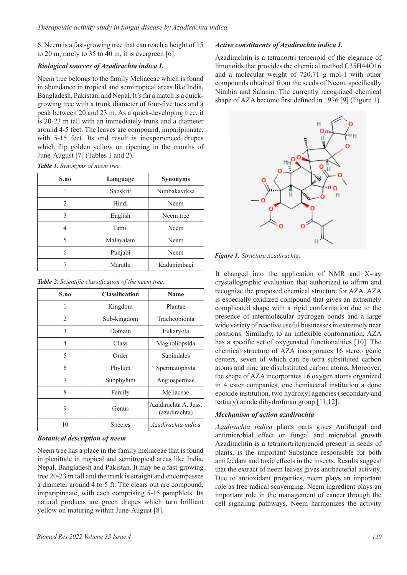6. Neem is a fast-growing tree that can reach a height of 15 to 20 m, rarely to 35 to 40 m, it is evergreen [6].

#### *Biological sources of Azadirachta indica L*

Neem tree belongs to the family Meliaceae which is found in abundance in tropical and semitropical areas like India, Bangladesh, Pakistan, and Nepal. It's far a match is a quickgrowing tree with a trunk diameter of four-five toes and a peak between 20 and 23 m. As a quick-developing tree, it is 20-23 m tall with an immediately trunk and a diameter around 4-5 feet. The leaves are compound, imparipinnate, with 5-15 feet. Its end result is inexperienced drupes which flip golden yellow on ripening in the months of June-August [7] (Tables 1 and 2).

*Table 1. Synonyms of neem tree.*

| S.no | Language  | <b>Synonyms</b> |
|------|-----------|-----------------|
|      | Sanskrit  | Nimbakavrksa    |
| 2    | Hindi     | Neem            |
| 3    | English   | Neem tree       |
| 4    | Tamil     | Neem            |
| 5    | Malayalam | Neem            |
| 6    | Punjabi   | Neem            |
|      | Marathi   | Kadunimbaci     |

*Table 2. Scientific classification of the neem tree.*

| S.no | <b>Classification</b> | <b>Name</b>                           |
|------|-----------------------|---------------------------------------|
| 1    | Kingdom               | Plantae                               |
| 2    | Sub-kingdom           | Tracheobionta                         |
| 3    | Domain                | Eukaryota                             |
| 4    | Class                 | Magnoliopsida                         |
| 5    | Order                 | Sapindales                            |
| 6    | Phylum                | Spermatophyta                         |
| 7    | Subphylum             | Angiospermae                          |
| 8    | Family                | Meliaceae                             |
| 9    | Genus                 | Azadirachta A. Juss.<br>(azadirachta) |
| 10   | Species               | Azadirachta indica                    |

# *Botanical description of neem*

Neem tree has a place in the family meliaceae that is found in plenitude in tropical and semitropical areas like India, Nepal, Bangladesh and Pakistan. It may be a fast-growing tree 20-23 m tall and the trunk is straight and encompasses a diameter around 4 to 5 ft. The clears out are compound, imparipinnate, with each comprising 5-15 pamphlets. Its natural products are green drupes which turn brilliant yellow on maturing within June-August [8].

#### *Active constituents of Azadirachta indica L*

Azadirachtin is a tetranortri terpenoid of the elegance of limonoids that provides the chemical method C35H44O16 and a molecular weight of 720.71 g mol-1 with other compounds obtained from the seeds of Neem, specifically Nimbin and Salanin. The currently recognized chemical shape of AZA become first defined in 1976 [9] (Figure 1).



*Figure 1: Structure Azadirachta.*

It changed into the application of NMR and X-ray crystallographic evaluation that authorized to affirm and recognize the proposed chemical structure for AZA. AZA is especially oxidized compound that gives an extremely complicated shape with a rigid conformation due to the presence of intermolecular hydrogen bonds and a large wide variety of reactive useful businesses in extremely near positions. Similarly, to an inflexible conformation, AZA has a specific set of oxygenated functionalities [10]. The chemical structure of AZA incorporates 16 stereo genic centers, seven of which can be tetra substituted carbon atoms and nine are disubstituted carbon atoms. Moreover, the shape of AZA incorporates 16 oxygen atoms organized in 4 ester companies, one hemiacetal institution a done epoxide institution, two hydroxyl agencies (secondary and tertiary) anode dihydrofuran group [11,12].

# *Mechanism of action azadirachta*

*Azadirachta indica* plants parts gives Antifungal and antimicrobial effect on fungal and microbial growth Azadirachtin is a tetranortriterpenoid present in seeds of plants, is the important Substance responsible for both antifeedant and toxic effects in the insects. Results suggest that the extract of neem leaves gives antibacterial activity. Due to antioxidant properties, neem plays an important role as free radical scavenging. Neem ingredient plays an important role in the management of cancer through the cell signaling pathways. Neem harmonizes the activity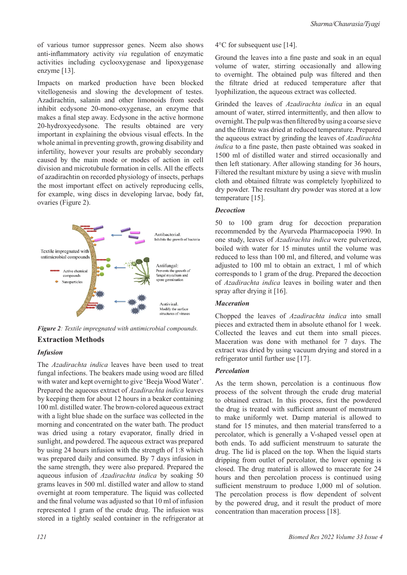of various tumor suppressor genes. Neem also shows anti-inflammatory activity *via* regulation of enzymatic activities including cyclooxygenase and lipoxygenase enzyme [13].

Impacts on marked production have been blocked vitellogenesis and slowing the development of testes. Azadirachtin, salanin and other limonoids from seeds inhibit ecdysone 20-mono-oxygenase, an enzyme that makes a final step away. Ecdysone in the active hormone 20-hydroxyecdysone. The results obtained are very important in explaining the obvious visual effects. In the whole animal in preventing growth, growing disability and infertility, however your results are probably secondary caused by the main mode or modes of action in cell division and microtubule formation in cells. All the effects of azadirachtin on recorded physiology of insects, perhaps the most important effect on actively reproducing cells, for example, wing discs in developing larvae, body fat, ovaries (Figure 2).



*Figure 2: Textile impregnated with antimicrobial compounds.*

# **Extraction Methods**

# *Infusion*

The *Azadirachta indica* leaves have been used to treat fungal infections. The beakers made using wood are filled with water and kept overnight to give 'Beeja Wood Water'. Prepared the aqueous extract of *Azadirachta indica* leaves by keeping them for about 12 hours in a beaker containing 100 ml. distilled water. The brown-colored aqueous extract with a light blue shade on the surface was collected in the morning and concentrated on the water bath. The product was dried using a rotary evaporator, finally dried in sunlight, and powdered. The aqueous extract was prepared by using 24 hours infusion with the strength of 1:8 which was prepared daily and consumed. By 7 days infusion in the same strength, they were also prepared. Prepared the aqueous infusion of *Azadirachta indica* by soaking 50 grams leaves in 500 ml. distilled water and allow to stand overnight at room temperature. The liquid was collected and the final volume was adjusted so that 10 ml of infusion represented 1 gram of the crude drug. The infusion was stored in a tightly sealed container in the refrigerator at

4°C for subsequent use [14].

Ground the leaves into a fine paste and soak in an equal volume of water, stirring occasionally and allowing to overnight. The obtained pulp was filtered and then the filtrate dried at reduced temperature after that lyophilization, the aqueous extract was collected.

Grinded the leaves of *Azadirachta indica* in an equal amount of water, stirred intermittently, and then allow to overnight. The pulp was then filtered by using a coarse sieve and the filtrate was dried at reduced temperature. Prepared the aqueous extract by grinding the leaves of *Azadirachta indica* to a fine paste, then paste obtained was soaked in 1500 ml of distilled water and stirred occasionally and then left stationary. After allowing standing for 36 hours, Filtered the resultant mixture by using a sieve with muslin cloth and obtained filtrate was completely lyophilized to dry powder. The resultant dry powder was stored at a low temperature [15].

# *Decoction*

50 to 100 gram drug for decoction preparation recommended by the Ayurveda Pharmacopoeia 1990. In one study, leaves of *Azadirachta indica* were pulverized, boiled with water for 15 minutes until the volume was reduced to less than 100 ml, and filtered, and volume was adjusted to 100 ml to obtain an extract, 1 ml of which corresponds to 1 gram of the drug. Prepared the decoction of *Azadirachta indica* leaves in boiling water and then spray after drying it [16].

# *Maceration*

Chopped the leaves of *Azadirachta indica* into small pieces and extracted them in absolute ethanol for 1 week. Collected the leaves and cut them into small pieces. Maceration was done with methanol for 7 days. The extract was dried by using vacuum drying and stored in a refrigerator until further use [17].

# *Percolation*

As the term shown, percolation is a continuous flow process of the solvent through the crude drug material to obtained extract. In this process, first the powdered the drug is treated with sufficient amount of menstruum to make uniformly wet. Damp material is allowed to stand for 15 minutes, and then material transferred to a percolator, which is generally a V-shaped vessel open at both ends. To add sufficient menstruum to saturate the drug. The lid is placed on the top. When the liquid starts dripping from outlet of percolator, the lower opening is closed. The drug material is allowed to macerate for 24 hours and then percolation process is continued using sufficient menstruum to produce 1,000 ml of solution. The percolation process is flow dependent of solvent by the powered drug, and it result the product of more concentration than maceration process [18].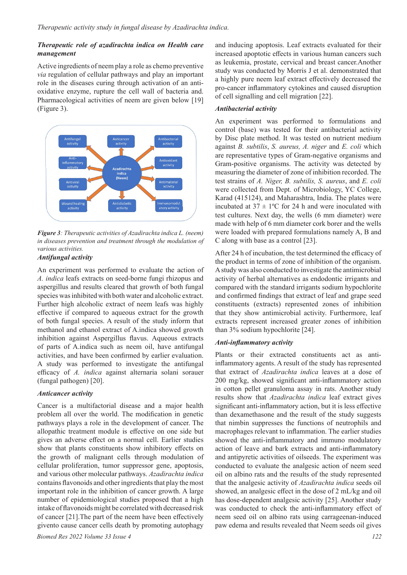#### *Therapeutic role of azadirachta indica on Health care management*

Active ingredients of neem play a role as chemo preventive *via* regulation of cellular pathways and play an important role in the diseases curing through activation of an antioxidative enzyme, rupture the cell wall of bacteria and. Pharmacological activities of neem are given below [19] (Figure 3).



*Figure 3: Therapeutic activities of Azadirachta indica L. (neem) in diseases prevention and treatment through the modulation of various activities.*

#### *Antifungal activity*

An experiment was performed to evaluate the action of *A. indica* leafs extracts on seed-borne fungi rhizopus and aspergillus and results cleared that growth of both fungal species was inhibited with both water and alcoholic extract. Further high alcoholic extract of neem leafs was highly effective if compared to aqueous extract for the growth of both fungal species. A result of the study inform that methanol and ethanol extract of A.indica showed growth inhibition against Aspergillus flavus. Aqueous extracts of parts of A.indica such as neem oil, have antifungal activities, and have been confirmed by earlier evaluation. A study was performed to investigate the antifungal efficacy of *A. indica* against alternaria solani sorauer (fungal pathogen) [20].

#### *Anticancer activity*

Cancer is a multifactorial disease and a major health problem all over the world. The modification in genetic pathways plays a role in the development of cancer. The allopathic treatment module is effective on one side but gives an adverse effect on a normal cell. Earlier studies show that plants constituents show inhibitory effects on the growth of malignant cells through modulation of cellular proliferation, tumor suppressor gene, apoptosis, and various other molecular pathways. *Azadirachta indica* contains flavonoids and other ingredients that play the most important role in the inhibition of cancer growth. A large number of epidemiological studies proposed that a high intake of flavonoids might be correlated with decreased risk of cancer [21].The part of the neem have been effectively givento cause cancer cells death by promoting autophagy

*Biomed Res 2022 Volume 33 Issue 4 122*

and inducing apoptosis. Leaf extracts evaluated for their increased apoptotic effects in various human cancers such as leukemia, prostate, cervical and breast cancer.Another study was conducted by Morris J et al. demonstrated that a highly pure neem leaf extract effectively decreased the pro-cancer inflammatory cytokines and caused disruption of cell signalling and cell migration [22].

#### *Antibacterial activity*

An experiment was performed to formulations and control (base) was tested for their antibacterial activity by Disc plate method. It was tested on nutrient medium against *B. subtilis*, *S. aureus, A. niger* and *E. coli* which are representative types of Gram-negative organisms and Gram-positive organisms. The activity was detected by measuring the diameter of zone of inhibition recorded. The test strains of *A. Niger, B. subtilis, S. aureus*, and *E. coli*  were collected from Dept. of Microbiology, YC College, Karad (415124), and Maharashtra, India. The plates were incubated at  $37 \pm 1$ °C for 24 h and were inoculated with test cultures. Next day, the wells (6 mm diameter) were made with help of 6 mm diameter cork borer and the wells were loaded with prepared formulations namely A, B and C along with base as a control [23].

After 24 h of incubation, the test determined the efficacy of the product in terms of zone of inhibition of the organism. A study was also conducted to investigate the antimicrobial activity of herbal alternatives as endodontic irrigants and compared with the standard irrigants sodium hypochlorite and confirmed findings that extract of leaf and grape seed constituents (extracts) represented zones of inhibition that they show antimicrobial activity. Furthermore, leaf extracts represent increased greater zones of inhibition than 3% sodium hypochlorite [24].

#### *Anti-inflammatory activity*

Plants or their extracted constituents act as antiinflammatory agents. A result of the study has represented that extract of *Azadirachta indica* leaves at a dose of 200 mg/kg, showed significant anti-inflammatory action in cotton pellet granuloma assay in rats. Another study results show that *Azadirachta indica* leaf extract gives significant anti-inflammatory action, but it is less effective than dexamethasone and the result of the study suggests that nimbin suppresses the functions of neutrophils and macrophages relevant to inflammation. The earlier studies showed the anti-inflammatory and immuno modulatory action of leave and bark extracts and anti-inflammatory and antipyretic activities of oilseeds. The experiment was conducted to evaluate the analgesic action of neem seed oil on albino rats and the results of the study represented that the analgesic activity of *Azadirachta indica* seeds oil showed, an analgesic effect in the dose of 2 mL/kg and oil has dose-dependent analgesic activity [25]. Another study was conducted to check the anti-inflammatory effect of neem seed oil on albino rats using carrageenan-induced paw edema and results revealed that Neem seeds oil gives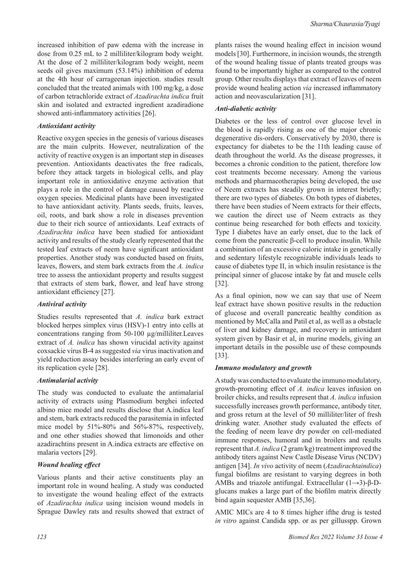increased inhibition of paw edema with the increase in dose from 0.25 mL to 2 milliliter/kilogram body weight. At the dose of 2 milliliter/kilogram body weight, neem seeds oil gives maximum (53.14%) inhibition of edema at the 4th hour of carrageenan injection. studies result concluded that the treated animals with 100 mg/kg, a dose of carbon tetrachloride extract of *Azadirachta indica* fruit skin and isolated and extracted ingredient azadiradione showed anti-inflammatory activities [26].

### *Antioxidant activity*

Reactive oxygen species in the genesis of various diseases are the main culprits. However, neutralization of the activity of reactive oxygen is an important step in diseases prevention. Antioxidants deactivates the free radicals, before they attack targets in biological cells, and play important role in antioxidative enzyme activation that plays a role in the control of damage caused by reactive oxygen species. Medicinal plants have been investigated to have antioxidant activity. Plants seeds, fruits, leaves, oil, roots, and bark show a role in diseases prevention due to their rich source of antioxidants. Leaf extracts of *Azadirachta indica* have been studied for antioxidant activity and results of the study clearly represented that the tested leaf extracts of neem have significant antioxidant properties. Another study was conducted based on fruits, leaves, flowers, and stem bark extracts from the *A. indica*  tree to assess the antioxidant property and results suggest that extracts of stem bark, flower, and leaf have strong antioxidant efficiency [27].

# *Antiviral activity*

Studies results represented that *A. indica* bark extract blocked herpes simplex virus (HSV)-1 entry into cells at concentrations ranging from 50-100 µg/milliliter.Leaves extract of *A. indica* has shown virucidal activity against coxsackie virus B-4 as suggested *via* virus inactivation and yield reduction assay besides interfering an early event of its replication cycle [28].

#### *Antimalarial activity*

The study was conducted to evaluate the antimalarial activity of extracts using Plasmodium berghei infected albino mice model and results disclose that A.indica leaf and stem, bark extracts reduced the parasitemia in infected mice model by 51%-80% and 56%-87%, respectively, and one other studies showed that limonoids and other azadirachtins present in A.indica extracts are effective on malaria vectors [29].

# *Wound healing effect*

Various plants and their active constituents play an important role in wound healing. A study was conducted to investigate the wound healing effect of the extracts of *Azadirachta indica* using incision wound models in Sprague Dawley rats and results showed that extract of plants raises the wound healing effect in incision wound models [30]. Furthermore, in incision wounds, the strength of the wound healing tissue of plants treated groups was found to be importantly higher as compared to the control group. Other results displays that extract of leaves of neem provide wound healing action *via* increased inflammatory action and neovascularization [31].

### *Anti-diabetic activity*

Diabetes or the less of control over glucose level in the blood is rapidly rising as one of the major chronic degenerative dis-orders. Conservatively by 2030, there is expectancy for diabetes to be the 11th leading cause of death throughout the world. As the disease progresses, it becomes a chronic condition to the patient, therefore low cost treatments become necessary. Among the various methods and pharmacotherapies being developed, the use of Neem extracts has steadily grown in interest briefly; there are two types of diabetes. On both types of diabetes, there have been studies of Neem extracts for their effects, we caution the direct use of Neem extracts as they continue being researched for both effects and toxicity. Type I diabetes have an early onset, due to the lack of come from the pancreatic β-cell to produce insulin. While a combination of an excessive caloric intake in genetically and sedentary lifestyle recognizable individuals leads to cause of diabetes type II, in which insulin resistance is the principal sinner of glucose intake by fat and muscle cells [32].

As a final opinion, now we can say that use of Neem leaf extract have shown positive results in the reduction of glucose and overall pancreatic healthy condition as mentioned by McCalla and Patil et al, as well as a obstacle of liver and kidney damage, and recovery in antioxidant system given by Basir et al, in murine models, giving an important details in the possible use of these compounds [33].

# *Immuno modulatory and growth*

A study was conducted to evaluate the immuno modulatory, growth-promoting effect of *A. indica* leaves infusion on broiler chicks, and results represent that *A. indica* infusion successfully increases growth performance, antibody titer, and gross return at the level of 50 milliliter/liter of fresh drinking water. Another study evaluated the effects of the feeding of neem leave dry powder on cell-mediated immune responses, humoral and in broilers and results represent that *A. indica* (2 gram/kg) treatment improved the antibody titers against New Castle Disease Virus (NCDV) antigen [34]. *In vivo* activity of neem (*Azadirachtaindica*) fungal biofilms are resistant to varying degrees in both AMBs and triazole antifungal. Extracellular (1→3)-β-Dglucans makes a large part of the biofilm matrix directly bind again sequester AMB [35,36].

AMIC MICs are 4 to 8 times higher ifthe drug is tested *in vitro* against Candida spp. or as per gillusspp. Grown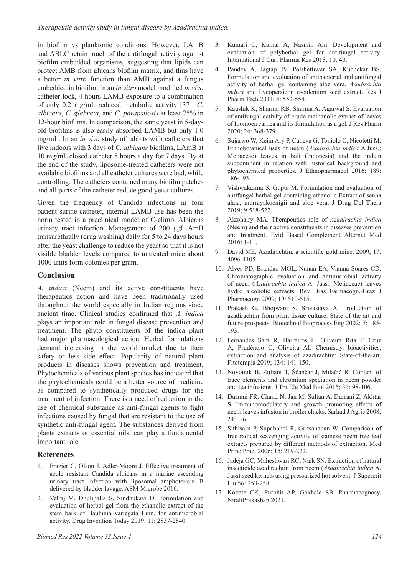in biofilm vs planktonic conditions. However, LAmB and ABLC retain much of the antifungal activity against biofilm embedded organisms, suggesting that lipids can protect AMB from glucans biofilm matrix, and thus have a better *in vitro* function than AMB against a fungus embedded in biofilm. In an *in vitro* model modified *in vivo* catheter lock, 4 hours LAMB exposure to a combination of only 0.2 mg/mL reduced metabolic activity [37]. *C. albicans*, *C. glabrata*, and *C. parapsilosis* at least 75% in 12-hour biofilms. In comparison, the same yeast in 5-dayold biofilms is also easily absorbed LAMB but only 1.0 mg/mL. In an *in vivo* study of rabbits with catheters that live indoors with 3 days of *C. albicans* biofilms, LAmB at 10 mg/mL closed catheter 8 hours a day for 7 days. By at the end of the study, liposome-treated catheters were not available biofilms and all catheter cultures were bad, while controlling. The catheters contained many biofilm patches and all parts of the catheter reduce good yeast cultures.

Given the frequency of Candida infections in four patient surine catheter, internal LAMB use has been the norm tested in a preclinical model of C-climb, Albicans urinary tract infection. Management of 200 μgL AmB transurethrally (drug washing) daily for 5 to 24 days hours after the yeast challenge to reduce the yeast so that it is not visible bladder levels compared to untreated mice about 1000 units form colonies per gram.

#### **Conclusion**

*A. indica* (Neem) and its active constituents have therapeutics action and have been traditionally used throughout the world especially in Indian regions since ancient time. Clinical studies confirmed that *A. indica*  plays an important role in fungal disease prevention and treatment. The phyto constituents of the indica plant had major pharmacological action. Herbal formulations demand increasing in the world market due to their safety or less side effect. Popularity of natural plant products in diseases shows prevention and treatment. Phytochemicals of various plant species has indicated that the phytochemicals could be a better source of medicine as compared to synthetically produced drugs for the treatment of infection. There is a need of reduction in the use of chemical substance as anti-fungal agents to fight infections caused by fungal that are resistant to the use of synthetic anti-fungal agent. The substances derived from plants extracts or essential oils, can play a fundamental important role.

#### **References**

- 1. Frazier C, Olson J, Adler-Moore J. [Effective treatment of](https://scholarworks.calstate.edu/downloads/m326m3733)  [azole resistant Candida albicans in a murine ascending](https://scholarworks.calstate.edu/downloads/m326m3733)  [urinary tract infection with liposomal amphotericin B](https://scholarworks.calstate.edu/downloads/m326m3733)  [delivered by bladder lavage.](https://scholarworks.calstate.edu/downloads/m326m3733) ASM Microbe 2016.
- 2. Velraj M, Dhulipalla S, Sindhukavi D. [Formulation and](https://web.p.ebscohost.com/abstract?direct=true&profile=ehost&scope=site&authtype=crawler&jrnl=09757619&AN=140346321&h=P12h3GunnSmYApjCBY4U%2bmiVbf7esAsOx2uecqq218Wf%2fpITHOKUbTu5ELHHIJoY3RgRaeon%2bFiHfNfKdmdzfA%3d%3d&crl=c&resultNs=AdminWebAuth&resultLocal=ErrCrlNotAuth&crlhashurl=login.aspx%3fdirect%3dtrue%26profile%3dehost%26scope%3dsite%26authtype%3dcrawler%26jrnl%3d09757619%26AN%3d140346321)  [evaluation of herbal gel from the ethanolic extract of the](https://web.p.ebscohost.com/abstract?direct=true&profile=ehost&scope=site&authtype=crawler&jrnl=09757619&AN=140346321&h=P12h3GunnSmYApjCBY4U%2bmiVbf7esAsOx2uecqq218Wf%2fpITHOKUbTu5ELHHIJoY3RgRaeon%2bFiHfNfKdmdzfA%3d%3d&crl=c&resultNs=AdminWebAuth&resultLocal=ErrCrlNotAuth&crlhashurl=login.aspx%3fdirect%3dtrue%26profile%3dehost%26scope%3dsite%26authtype%3dcrawler%26jrnl%3d09757619%26AN%3d140346321)  [stem bark of Bauhinia variegata Linn. for antimicrobial](https://web.p.ebscohost.com/abstract?direct=true&profile=ehost&scope=site&authtype=crawler&jrnl=09757619&AN=140346321&h=P12h3GunnSmYApjCBY4U%2bmiVbf7esAsOx2uecqq218Wf%2fpITHOKUbTu5ELHHIJoY3RgRaeon%2bFiHfNfKdmdzfA%3d%3d&crl=c&resultNs=AdminWebAuth&resultLocal=ErrCrlNotAuth&crlhashurl=login.aspx%3fdirect%3dtrue%26profile%3dehost%26scope%3dsite%26authtype%3dcrawler%26jrnl%3d09757619%26AN%3d140346321)  [activity.](https://web.p.ebscohost.com/abstract?direct=true&profile=ehost&scope=site&authtype=crawler&jrnl=09757619&AN=140346321&h=P12h3GunnSmYApjCBY4U%2bmiVbf7esAsOx2uecqq218Wf%2fpITHOKUbTu5ELHHIJoY3RgRaeon%2bFiHfNfKdmdzfA%3d%3d&crl=c&resultNs=AdminWebAuth&resultLocal=ErrCrlNotAuth&crlhashurl=login.aspx%3fdirect%3dtrue%26profile%3dehost%26scope%3dsite%26authtype%3dcrawler%26jrnl%3d09757619%26AN%3d140346321) Drug Invention Today 2019; 11: 2837-2840.
- 3. Kumari C, Kumar A, Nasmin Am. [Development and](https://innovareacademics.in/journals/index.php/ijcpr/article/view/29694)  [evaluation of polyherbal gel for antifungal activity.](https://innovareacademics.in/journals/index.php/ijcpr/article/view/29694)  International J Curr Pharma Res 2018; 10: 40.
- 4. Pandey A, Jagtap JV, Polshettiwar SA, Kuchekar BS. [Formulation and evaluation of antibacterial and antifungal](https://rjptonline.org/AbstractView.aspx?PID=2011-4-4-6)  [activity of herbal gel containing aloe vera,](https://rjptonline.org/AbstractView.aspx?PID=2011-4-4-6) *Azadirachta indica* [and Lycopersicon esculentum seed extract.](https://rjptonline.org/AbstractView.aspx?PID=2011-4-4-6) Res J Pharm Tech 2011; 4: 552-554.
- 5. Kaushik K, Sharma RB, Sharma A, Agarwal S. [Evaluation](https://jrespharm.com/uploads/pdf/pdf_MPJ_798.pdf)  [of antifungal activity of crude methanolic extract of leaves](https://jrespharm.com/uploads/pdf/pdf_MPJ_798.pdf)  [of Ipomoea carnea and its formulation as a gel.](https://jrespharm.com/uploads/pdf/pdf_MPJ_798.pdf) J Res Pharm 2020; 24: 368-379.
- 6. Sujarwo W, Keim Ary P, Caneva G, Toniolo C, Nicoletti M. [Ethnobotanical uses of neem \(](https://linkinghub.elsevier.com/retrieve/pii/S037887411630277X)*Azadirachta indica* A.Juss.; [Meliaceae\) leaves in bali \(Indonesia\) and the indian](https://linkinghub.elsevier.com/retrieve/pii/S037887411630277X)  [subcontinent in relation with historical background and](https://linkinghub.elsevier.com/retrieve/pii/S037887411630277X)  [phytochemical properties.](https://linkinghub.elsevier.com/retrieve/pii/S037887411630277X) J Ethnopharmacol 2016; 189: 186-193.
- 7. Vishwakarma S, Gupta M. [Formulation and evaluation of](http://jddtonline.info/index.php/jddt/article/view/3095)  [antifungal herbal gel containing ethanolic Extract of senna](http://jddtonline.info/index.php/jddt/article/view/3095)  [alata, murrayakoenigii and aloe vera.](http://jddtonline.info/index.php/jddt/article/view/3095) J Drug Del Thera 2019; 9:518-522.
- 8. Alzohairy MA. [Therapeutics role of](https://www.hindawi.com/journals/ecam/2016/7382506/) *Azadirachta indica* [\(Neem\) and their active constituents in diseases prevention](https://www.hindawi.com/journals/ecam/2016/7382506/)  [and treatment.](https://www.hindawi.com/journals/ecam/2016/7382506/) Evid Based Complement Alternat Med 2016: 1-11.
- 9. David ME. [Azadirachtin, a scientific gold mine.](https://www.sciencedirect.com/science/article/abs/pii/S0968089608011346) 2009; 17: 4096-4105.
- 10. Alves PD, Brandao MGL, Nunan EA, Vianna-Soares CD. [Chromatographic evaluation and antimicrobial activity](https://pdfs.semanticscholar.org/0aa1/e412f13c8c291a9d58f2616043dccb7ed834.pdf)  of neem (*Azadirachta indica* [A. Juss., Meliaceae\) leaves](https://pdfs.semanticscholar.org/0aa1/e412f13c8c291a9d58f2616043dccb7ed834.pdf)  [hydro alcoholic extracts.](https://pdfs.semanticscholar.org/0aa1/e412f13c8c291a9d58f2616043dccb7ed834.pdf) Rev Bras Farmacogn.-Braz J Pharmacogn 2009; 19: 510-515.
- 11. Prakash G, Bhojwani S, Srivastava A. [Production of](https://link.springer.com/article/10.1007/BF02932968)  [azadirachtin from plant tissue culture: State of the art and](https://link.springer.com/article/10.1007/BF02932968)  [future prospects.](https://link.springer.com/article/10.1007/BF02932968) Biotechnol Bioprocess Eng 2002; 7: 185- 193.
- 12. Fernandes Sara R, Barreiros L, Oliveira Rita F, Cruz A, Prudêncio C, Oliveira AI. [Chemistry, bioactivities,](https://www.sciencedirect.com/science/article/abs/pii/S0367326X18316721)  [extraction and analysis of azadirachtin: State-of-the-art.](https://www.sciencedirect.com/science/article/abs/pii/S0367326X18316721)  Fitoterapia 2019; 134: 141-150.
- 13. Novotnik B, Zuliani T, Ščančar J, Milačič R. [Content of](https://www.sciencedirect.com/science/article/abs/pii/S0946672X15000413)  [trace elements and chromium speciation in neem powder](https://www.sciencedirect.com/science/article/abs/pii/S0946672X15000413)  [and tea infusions.](https://www.sciencedirect.com/science/article/abs/pii/S0946672X15000413) J Tra Ele Med Biol 2015; 31: 98-106.
- 14. Durrani FR, Chand N, Jan M, Sultan A, Durrani Z, Akhtar S. [Immunomodulatory and growth promoting effects of](https://www.aup.edu.pk/sj_pdf/IMMUNOMODULATORY AND GROWTH PROMOTING.pdf)  [neem leaves infusion in broiler chicks.](https://www.aup.edu.pk/sj_pdf/IMMUNOMODULATORY AND GROWTH PROMOTING.pdf) Sarhad J Agric 2008; 24: 1-6.
- 15. Sithisarn P, Supabphol R, Gritsanapan W. [Comparison of](https://www.karger.com/Article/FullText/92185)  [free radical scavenging activity of siamese neem tree leaf](https://www.karger.com/Article/FullText/92185)  [extracts prepared by different methods of extraction.](https://www.karger.com/Article/FullText/92185) Med Princ Pract 2006; 15: 219-222.
- 16. Jadeja GC, Maheshwari RC, Naik SN. [Extraction of natural](https://www.sciencedirect.com/science/article/abs/pii/S0896844611000271)  [insecticide azadirachtin from neem \(](https://www.sciencedirect.com/science/article/abs/pii/S0896844611000271)*Azadirachta indica* A. [Juss\) seed kernels using pressurized hot solvent.](https://www.sciencedirect.com/science/article/abs/pii/S0896844611000271) J Supercrit Flu 56: 253-258.
- 17. Kokate CK, Purohit AP, Gokhale SB. Pharmacognosy. NiraliPrakashan 2021.